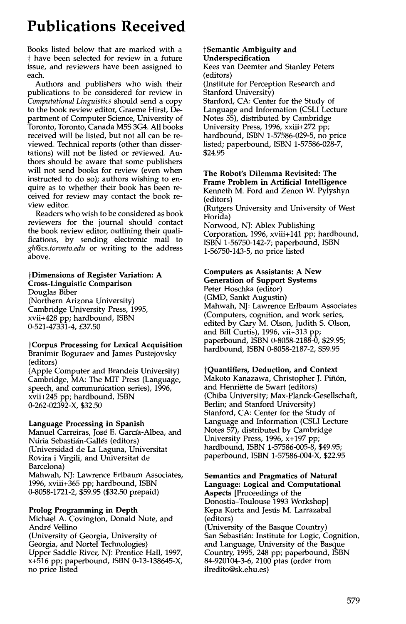# **Publications Received**

Books listed below that are marked with a t have been selected for review in a future issue, and reviewers have been assigned to each.

Authors and publishers who wish their publications to be considered for review in *Computational Linguistics* should send a copy to the book review editor, Graeme Hirst, Department of Computer Science, University of Toronto, Toronto, Canada M5S 3G4. All books received will be listed, but not all can be reviewed. Technical reports (other than dissertations) will not be listed or reviewed. Authors should be aware that some publishers will not send books for review (even when instructed to do so); authors wishing to enquire as to whether their book has been received for review may contact the book review editor.

Readers who wish to be considered as book reviewers for the journal should contact the book review editor, outlining their qualifications, by sending electronic mail to *gh@cs.toronto.edu* or writing to the address above.

# **tDimensions of Register Variation: A Cross-Linguistic Comparison**

Douglas Biber (Northern Arizona University) Cambridge University Press, 1995, xvii+428 pp; hardbound, ISBN 0-521-47331-4, £37.50

#### **tCorpus Processing for Lexical Acquisition**  Branimir Boguraev and James Pustejovsky (editors)

(Apple Computer and Brandeis University) Cambridge, MA: The MIT Press (Language, speech, and communication series), 1996, xvii+245 pp; hardbound, ISBN 0-262-02392-X, \$32.50

# **Language Processing in Spanish**

Manuel Carreiras, José E. García-Albea, and Núria Sebastián-Gallés (editors) (Universidad de La Laguna, Universitat Rovira i Virgili, and Universitat de Barcelona) Mahwah, NJ: Lawrence Erlbaum Associates, 1996, xviii+365 pp; hardbound, ISBN 0-8058-1721-2, \$59.95 (\$32.50 prepaid)

# **Prolog Programming in Depth**

Michael A. Covington, Donald Nute, and André Vellino

(University of Georgia, University of Georgia, and Nortel Technologies) Upper Saddle River, NJ: Prentice Hall, 1997, x+516 pp; paperbound, ISBN 0-13-138645-X, no price listed

#### **tSemantic Ambiguity and Underspecification**

Kees van Deemter and Stanley Peters (editors)

(Institute for Perception Research and Stanford University) Stanford, CA: Center for the Study of Language and Information (CSLI Lecture Notes 55), distributed by Cambridge University Press, 1996, xxiii+272 pp; hardbound, ISBN 1-57586-029-5, no price listed; paperbound, ISBN 1-57586-028-7, \$24.95

## **The Robot's Dilemma Revisited: The Frame Problem in Artificial Intelligence**  Kenneth M. Ford and Zenon W. Pylyshyn (editors)

(Rutgers University and University of West Florida)

Norwood, NJ: Ablex Publishing Corporation, 1996, xviii+141 pp; hardbound, ISBN 1-56750-142-7; paperbound, ISBN 1-56750-143-5, no price listed

#### **Computers as Assistants: A New Generation of Support Systems**

Peter Hoschka (editor) (GMD, Sankt Augustin) Mahwah, NJ: Lawrence Erlbaum Associates (Computers, cognition, and work series, edited by Gary M. Olson, Judith S. Olson, and Bill Curtis), 1996, vii+313 pp; paperbound, ISBN 0-8058-2188-0, \$29.95; hardbound, ISBN 0-8058-2187-2, \$59.95

# **tQuantifiers, Deduction, and Context**

Makoto Kanazawa, Christopher J. Piñón, and Henriëtte de Swart (editors) (Chiba University; Max-Planck-Gesellschaft, Berlin; and Stanford University) Stanford, CA: Center for the Study of Language and Information (CSLI Lecture Notes 57), distributed by Cambridge University Press, 1996, x+197 pp; hardbound, ISBN 1-57586-005-8, \$49.95; paperbound, ISBN 1-57586-004-X, \$22.95

#### **Semantics and Pragmatics of Natural Language: Logical and Computational Aspects** [Proceedings of the

Donostia-Toulouse 1993 Workshop] Kepa Korta and Jesús M. Larrazabal (editors) (University of the Basque Country) San Sebastián: Institute for Logic, Cognition, and Language, University of the Basque Country, 1995, 248 pp; paperbound, ISBN 84-920104-3-6, 2100 ptas (order from ilredito@sk.ehu.es)